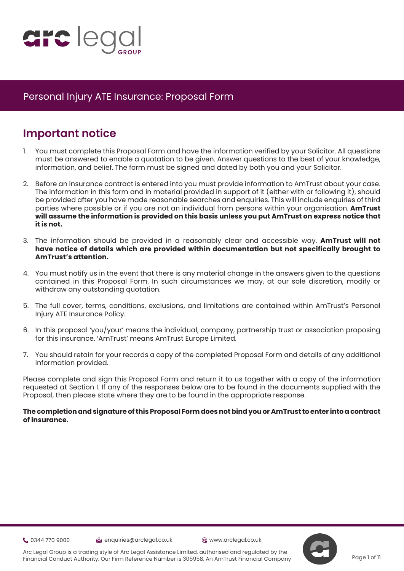

# **Important notice**

- 1. You must complete this Proposal Form and have the information verified by your Solicitor. All questions must be answered to enable a quotation to be given. Answer questions to the best of your knowledge, information, and belief. The form must be signed and dated by both you and your Solicitor.
- 2. Before an insurance contract is entered into you must provide information to AmTrust about your case. The information in this form and in material provided in support of it (either with or following it), should be provided after you have made reasonable searches and enquiries. This will include enquiries of third parties where possible or if you are not an individual from persons within your organisation. **AmTrust will assume the information is provided on this basis unless you put AmTrust on express notice that it is not.**
- 3. The information should be provided in a reasonably clear and accessible way. **AmTrust will not have notice of details which are provided within documentation but not specifically brought to AmTrust's attention.**
- 4. You must notify us in the event that there is any material change in the answers given to the questions contained in this Proposal Form. In such circumstances we may, at our sole discretion, modify or withdraw any outstanding quotation.
- 5. The full cover, terms, conditions, exclusions, and limitations are contained within AmTrust's Personal Injury ATE Insurance Policy.
- 6. In this proposal 'you/your' means the individual, company, partnership trust or association proposing for this insurance. 'AmTrust' means AmTrust Europe Limited.
- 7. You should retain for your records a copy of the completed Proposal Form and details of any additional information provided.

Please complete and sign this Proposal Form and return it to us together with a copy of the information requested at Section I. If any of the responses below are to be found in the documents supplied with the Proposal, then please state where they are to be found in the appropriate response.

### **The completion and signature of this Proposal Form does not bind you or AmTrust to enter into a contract of insurance.**

0344 770 9000 enquiries@arclegal.co.uk www.arclegal.co.uk



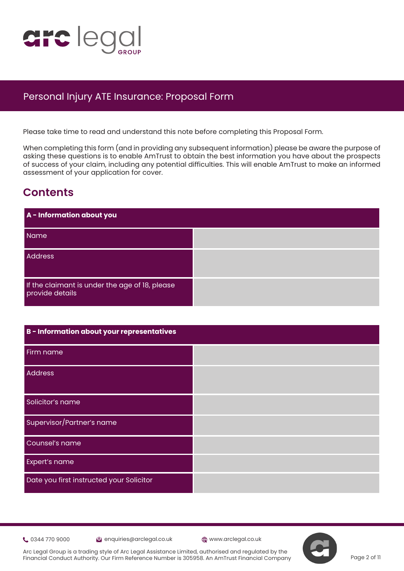

Please take time to read and understand this note before completing this Proposal Form.

When completing this form (and in providing any subsequent information) please be aware the purpose of asking these questions is to enable AmTrust to obtain the best information you have about the prospects of success of your claim, including any potential difficulties. This will enable AmTrust to make an informed assessment of your application for cover.

## **Contents**

| B - Information about your representatives |  |
|--------------------------------------------|--|
| Firm name                                  |  |
| <b>Address</b>                             |  |
| Solicitor's name                           |  |
| Supervisor/Partner's name                  |  |
| Counsel's name                             |  |
| Expert's name                              |  |
| Date you first instructed your Solicitor   |  |

0344 770 9000 enquiries@arclegal.co.uk www.arclegal.co.uk

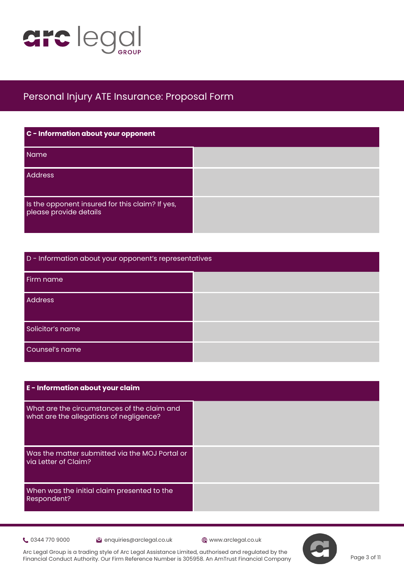

| C - Information about your opponent                                       |  |
|---------------------------------------------------------------------------|--|
| Name                                                                      |  |
| <b>Address</b>                                                            |  |
| Is the opponent insured for this claim? If yes,<br>please provide details |  |

| D - Information about your opponent's representatives |  |  |
|-------------------------------------------------------|--|--|
| Firm name                                             |  |  |
| Address                                               |  |  |
| Solicitor's name                                      |  |  |
| Counsel's name                                        |  |  |

| E - Information about your claim                                                       |
|----------------------------------------------------------------------------------------|
| What are the circumstances of the claim and<br>what are the allegations of negligence? |
| Was the matter submitted via the MOJ Portal or<br>via Letter of Claim?                 |
| When was the initial claim presented to the<br><b>Respondent?</b>                      |

0344 770 9000 enquiries@arclegal.co.uk www.arclegal.co.uk

Arc Legal Group is a trading style of Arc Legal Assistance Limited, authorised and regulated by the Financial Conduct Authority. Our Firm Reference Number is 305958. An AmTrust Financial Company



Page 3 of 11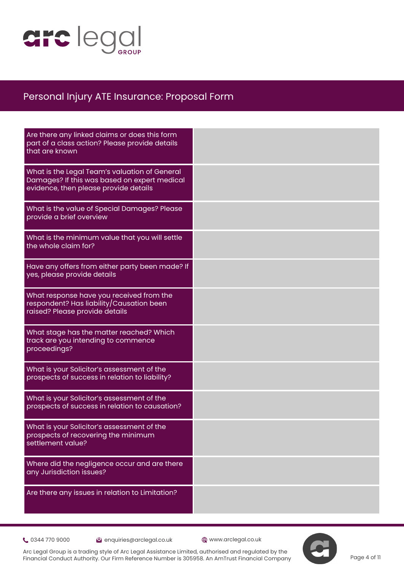

| Are there any linked claims or does this form<br>part of a class action? Please provide details<br>that are known                      |  |
|----------------------------------------------------------------------------------------------------------------------------------------|--|
| What is the Legal Team's valuation of General<br>Damages? If this was based on expert medical<br>evidence, then please provide details |  |
| What is the value of Special Damages? Please<br>provide a brief overview                                                               |  |
| What is the minimum value that you will settle<br>the whole claim for?                                                                 |  |
| Have any offers from either party been made? If<br>yes, please provide details                                                         |  |
| What response have you received from the<br>respondent? Has liability/Causation been<br>raised? Please provide details                 |  |
| What stage has the matter reached? Which<br>track are you intending to commence<br>proceedings?                                        |  |
| What is your Solicitor's assessment of the<br>prospects of success in relation to liability?                                           |  |
| What is your Solicitor's assessment of the<br>prospects of success in relation to causation?                                           |  |
| What is your Solicitor's assessment of the<br>prospects of recovering the minimum<br>settlement value?                                 |  |
| Where did the negligence occur and are there<br>any Jurisdiction issues?                                                               |  |
| Are there any issues in relation to Limitation?                                                                                        |  |

**t** 0344 770 9000 **extending the Contract Contract Contract Contract Contract Contract Contract Contract Contract Contract Contract Contract Contract Contract Contract Contract Contract Contract Contract Contract Contract**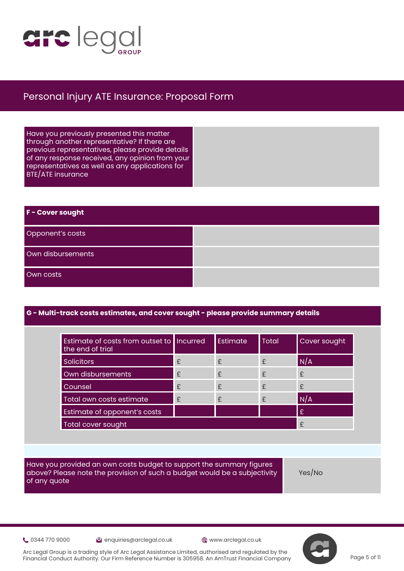

Have you previously presented this matter through another representative? If there are previous representatives, please provide details of any response received, any opinion from your representatives as well as any applications for BTE/ATE insurance

| F - Cover sought  |  |
|-------------------|--|
| Opponent's costs  |  |
| Own disbursements |  |
| Own costs         |  |

### **G - Multi-track costs estimates, and cover sought - please provide summary details**

| Estimate of costs from outset to   Incurred<br>the end of trial |   | Estimate | <b>Total</b> | Cover sought |
|-----------------------------------------------------------------|---|----------|--------------|--------------|
| <b>Solicitors</b>                                               | £ | £        | $\mathbf{f}$ | N/A          |
| Own disbursements                                               | £ | £        | $\mathbf{f}$ | £            |
| Counsel                                                         | £ | £        | £            | £            |
| Total own costs estimate                                        | £ | £        | $\mathbf{f}$ | N/A          |
| Estimate of opponent's costs                                    |   |          |              | £            |
| Total cover sought                                              |   |          |              | £            |

Have you provided an own costs budget to support the summary figures above? Please note the provision of such a budget would be a subjectivity of any quote

Yes/No

0344 770 9000 enquiries@arclegal.co.uk www.arclegal.co.uk

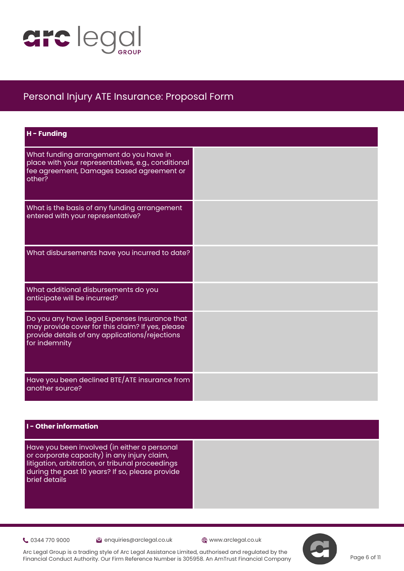

| H - Funding                                                                                                                                                          |  |
|----------------------------------------------------------------------------------------------------------------------------------------------------------------------|--|
| What funding arrangement do you have in<br>place with your representatives, e.g., conditional<br>fee agreement, Damages based agreement or<br>other?                 |  |
| What is the basis of any funding arrangement<br>entered with your representative?                                                                                    |  |
| What disbursements have you incurred to date?                                                                                                                        |  |
| What additional disbursements do you<br>anticipate will be incurred?                                                                                                 |  |
| Do you any have Legal Expenses Insurance that<br>may provide cover for this claim? If yes, please<br>provide details of any applications/rejections<br>for indemnity |  |
| Have you been declined BTE/ATE insurance from<br>another source?                                                                                                     |  |

### **I - Other information**

Have you been involved (in either a personal or corporate capacity) in any injury claim, litigation, arbitration, or tribunal proceedings during the past 10 years? If so, please provide brief details

Community 0344 770 9000 enquiries@arclegal.co.uk @www.arclegal.co.uk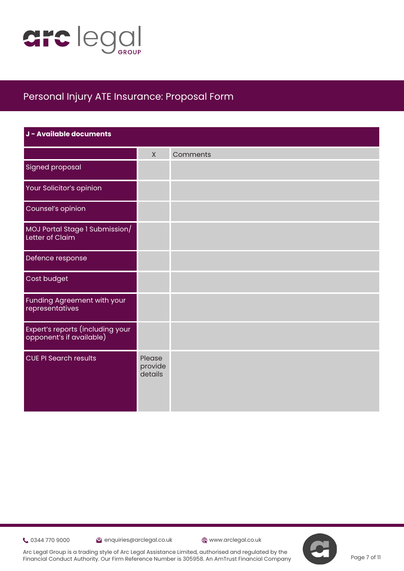

| J - Available documents                                        |                              |          |
|----------------------------------------------------------------|------------------------------|----------|
|                                                                | $\mathsf{X}$                 | Comments |
| <b>Signed proposal</b>                                         |                              |          |
| Your Solicitor's opinion                                       |                              |          |
| Counsel's opinion                                              |                              |          |
| MOJ Portal Stage 1 Submission/<br>Letter of Claim              |                              |          |
| Defence response                                               |                              |          |
| Cost budget                                                    |                              |          |
| Funding Agreement with your<br>representatives                 |                              |          |
| Expert's reports (including your<br>  opponent's if available) |                              |          |
| <b>CUE PI Search results</b>                                   | Please<br>provide<br>details |          |

0344 770 9000 enquiries@arclegal.co.uk www.arclegal.co.uk



Arc Legal Group is a trading style of Arc Legal Assistance Limited, authorised and regulated by the Financial Conduct Authority. Our Firm Reference Number is 305958. An AmTrust Financial Company

Page 7 of 11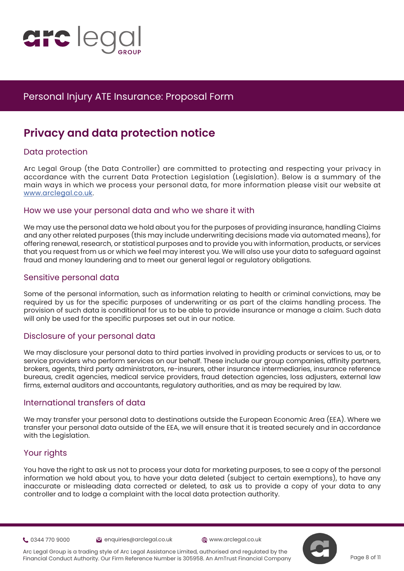

# **Privacy and data protection notice**

### Data protection

Arc [L](https://www.justice.gov.uk/courts/procedure-rules/civil/protocol)egal Group (the Data Controller) are committed to protecting and respecting your privacy in accordance with the current Data Protection Legislation (Legislation). Below is a summary of the main ways in which we process your personal data, for more information please visit our website at [www.arclegal.co.uk](https://www.arclegal.co.uk/).

### How we use your personal data and who we share it with

We may use the personal data we hold about you for the purposes of providing insurance, handling Claims and any other related purposes (this may include underwriting decisions made via automated means), for offering renewal, research, or statistical purposes and to provide you with information, products, or services that you request from us or which we feel may interest you. We will also use your data to safeguard against fraud and money laundering and to meet our general legal or regulatory obligations.

### Sensitive personal data

Some of the personal information, such as information relating to health or criminal convictions, may be required by us for the specific purposes of underwriting or as part of the claims handling process. The provision of such data is conditional for us to be able to provide insurance or manage a claim. Such data will only be used for the specific purposes set out in our notice.

### Disclosure of your personal data

We may disclosure your personal data to third parties involved in providing products or services to us, or to service providers who perform services on our behalf. These include our group companies, affinity partners, brokers, agents, third party administrators, re-insurers, other insurance intermediaries, insurance reference bureaus, credit agencies, medical service providers, fraud detection agencies, loss adjusters, external law firms, external auditors and accountants, regulatory authorities, and as may be required by law.

### International transfers of data

We may transfer your personal data to destinations outside the European Economic Area (EEA). Where we transfer your personal data outside of the EEA, we will ensure that it is treated securely and in accordance with the Legislation.

### Your rights

You have the right to ask us not to process your data for marketing purposes, to see a copy of the personal information we hold about you, to have your data deleted (subject to certain exemptions), to have any inaccurate or misleading data corrected or deleted, to ask us to provide a copy of your data to any controller and to lodge a complaint with the local data protection authority.

0344 770 9000 enquiries@arclegal.co.uk www.arclegal.co.uk



Arc Legal Group is a trading style of Arc Legal Assistance Limited, authorised and regulated by the Financial Conduct Authority. Our Firm Reference Number is 305958. An AmTrust Financial Company

Page 8 of 11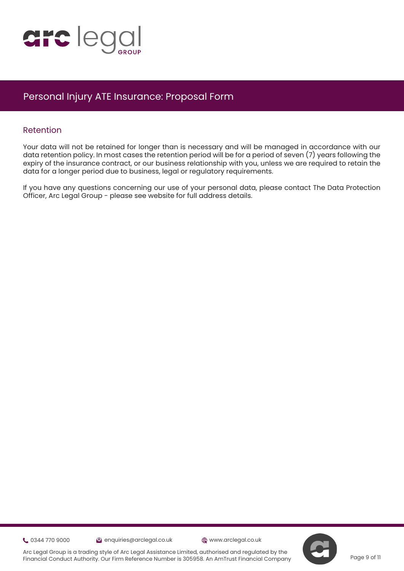

### Retention

Your data will not be retained for longer than is necessary and will be managed in accordance with our data retention policy. In most cases the retention period will be for a period of seven (7) years following the expiry of the insurance contract, or our business relationship with you, unless we are required to retain the dat[a](https://www.justice.gov.uk/courts/procedure-rules/civil/protocol) for a longer period due to business, legal or regulatory requirements.

If you have any questions concerning our use of your personal data, please contact The Data Protection Officer, Arc Legal Group - please see website for full address details.

0344 770 9000 enquiries@arclegal.co.uk www.arclegal.co.uk

Page 9 of 11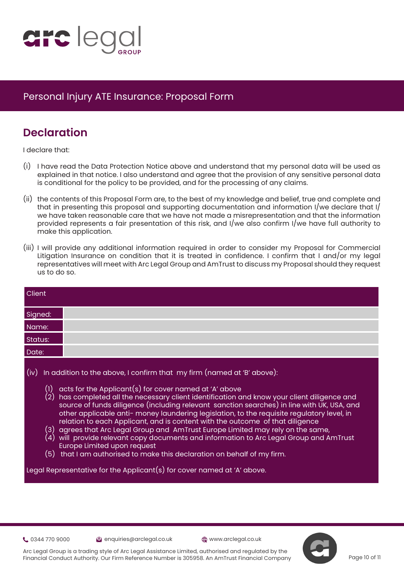

# **Declaration**

I declare that:

- (i) I have read the Data Protection Notice above and understand that my personal data will be used as explained in that notice. I also understand and agree that the provision of any sensitive personal data is conditional for the policy to be provided, and for the processing of any claims.
- (ii) the contents of this Proposal Form are, to the best of my knowledge and belief, true and complete and that in presenting this proposal and supporting documentation and information I/we declare that I/ we have taken reasonable care that we have not made a misrepresentation and that the information provided represents a fair presentation of this risk, and I/we also confirm I/we have full authority to make this application.
- (iii) I will provide any additional information required in order to consider my Proposal for Commercial Litigation Insurance on condition that it is treated in confidence. I confirm that I and/or my legal representatives will meet with Arc Legal Group and AmTrust to discuss my Proposal should they request us to do so.

| <b>Client</b>    |                                                                                                                                                                                                                                                                                                                                                                                                                                                                                                                                                                                                                                                                                                                                                                                                                                                                                                                            |
|------------------|----------------------------------------------------------------------------------------------------------------------------------------------------------------------------------------------------------------------------------------------------------------------------------------------------------------------------------------------------------------------------------------------------------------------------------------------------------------------------------------------------------------------------------------------------------------------------------------------------------------------------------------------------------------------------------------------------------------------------------------------------------------------------------------------------------------------------------------------------------------------------------------------------------------------------|
| Signed:          |                                                                                                                                                                                                                                                                                                                                                                                                                                                                                                                                                                                                                                                                                                                                                                                                                                                                                                                            |
| Name:            |                                                                                                                                                                                                                                                                                                                                                                                                                                                                                                                                                                                                                                                                                                                                                                                                                                                                                                                            |
| Status:          |                                                                                                                                                                                                                                                                                                                                                                                                                                                                                                                                                                                                                                                                                                                                                                                                                                                                                                                            |
| Date:            |                                                                                                                                                                                                                                                                                                                                                                                                                                                                                                                                                                                                                                                                                                                                                                                                                                                                                                                            |
| (iv)<br>$^{(1)}$ | In addition to the above, I confirm that my firm (named at 'B' above):<br>acts for the Applicant(s) for cover named at 'A' above<br>(2) has completed all the necessary client identification and know your client diligence and<br>source of funds diligence (including relevant sanction searches) in line with UK, USA, and<br>other applicable anti- money laundering legislation, to the requisite regulatory level, in<br>relation to each Applicant, and is content with the outcome of that diligence<br>$\left( 3\right) \,$ agrees that Arc Legal Group and $\,$ AmTrust Europe Limited may rely on the same,<br>$\left( 4\right) \,$ will provide relevant copy documents and information to Arc Legal Group and AmTrust<br>Europe Limited upon request<br>$(5)$ that I am authorised to make this declaration on behalf of my firm.<br>Legal Representative for the Applicant(s) for cover named at 'A' above. |

0344 770 9000 enquiries@arclegal.co.uk www.arclegal.co.uk



Arc Legal Group is a trading style of Arc Legal Assistance Limited, authorised and regulated by the Financial Conduct Authority. Our Firm Reference Number is 305958. An AmTrust Financial Company

Page 10 of 11